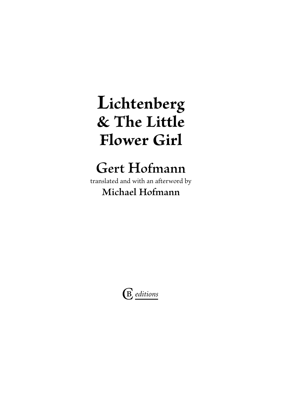# *Lichtenberg & The Little Flower Girl*

## *Gert Hofmann*

*translated and with an afterword by Michael Hofmann*

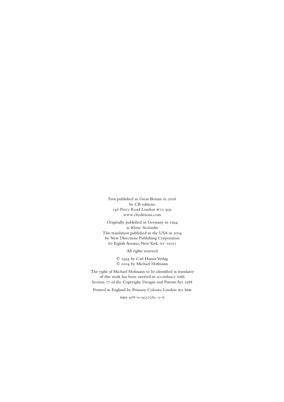First published in Great Britain in 2008 by CB editions 146 Percy Road London w12 9ql www.cbeditions.com

Originally published in Germany in 1994 as *Kleine Stechardin* This translation published in the USA in 2004 by New Directions Publishing Corporation 80 Eighth Avenue, New York, ny 10011

All rights reserved

© 1994 by Carl Hanser Verlag © 2004 by Michael Hofmann

The right of Michael Hofmann to be identified as translator of this work has been asserted in accordance with Section 77 of the Copyright, Designs and Patents Act 1988

Printed in England by Primary Colours, London w3 8DH

isbn 978–0–9557285–5–6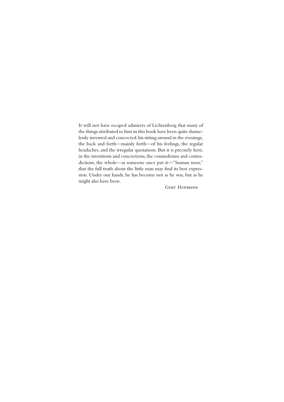It will not have escaped admirers of Lichtenberg that many of the things attributed to him in this book have been quite shamelessly invented and concocted: his sitting around in the evenings, the back and forth—mainly forth—of his feelings, the regular headaches, and the irregular quotations. But it is precisely here, in the inventions and concoctions, the conundrums and contradictions, the whole—as someone once put it—"human mess," that the full truth about the little man may find its best expression. Under our hands, he has become not as he was, but as he might also have been.

Gert Hofmann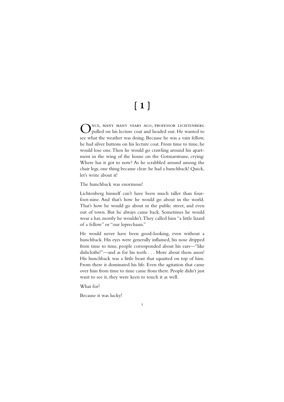### *[ 1 ]*

NCE, MANY MANY YEARS AGO, PROFESSOR LICHTENBERG pulled on his lecture coat and headed out. He wanted to see what the weather was doing. Because he was a vain fellow, he had silver buttons on his lecture coat. From time to time, he would lose one.Then he would go crawling around his apartment in the wing of the house on the Gotmarstrasse, crying: Where has it got to now? As he scrabbled around among the chair legs, one thing became clear: he had a hunchback! Quick, let's write about it!

The hunchback was enormous!

Lichtenberg himself can't have been much taller than fourfoot-nine. And that's how he would go about in the world. That's how he would go about in the public street, and even out of town. But he always came back. Sometimes he would wear a hat, mostly he wouldn't.They called him "a little lizard of a fellow" or "our leprechaun."

He would never have been good-looking, even without a hunchback. His eyes were generally inflamed, his nose dripped from time to time, people corresponded about his ears—"like dishcloths!"—and as for his teeth . . . More about them anon! His hunchback was a little beast that squatted on top of him. From there it dominated his life. Even the agitation that came over him from time to time came from there. People didn't just want to see it, they were keen to touch it as well.

1

What for?

Because it was lucky!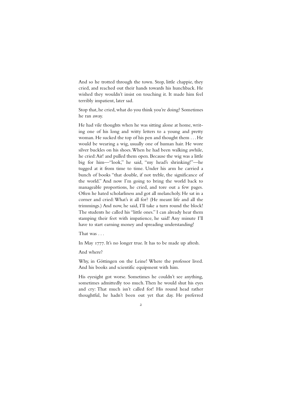And so he trotted through the town. Stop, little chappie, they cried, and reached out their hands towards his hunchback. He wished they wouldn't insist on touching it. It made him feel terribly impatient, later sad.

Stop that, he cried, what do you think you're doing? Sometimes he ran away.

He had vile thoughts when he was sitting alone at home, writing one of his long and witty letters to a young and pretty woman. He sucked the top of his pen and thought them . . . He would be wearing a wig, usually one of human hair. He wore silver buckles on his shoes.When he had been walking awhile, he cried:Air! and pulled them open. Because the wig was a little big for him—"look," he said, "my head's shrinking!"—he tugged at it from time to time. Under his arm he carried a bunch of books "that double, if not treble, the significance of the world." And now I'm going to bring the world back to manageable proportions, he cried, and tore out a few pages. Often he hated scholarliness and got all melancholy. He sat in a corner and cried: What's it all for? (He meant life and all the trimmings.) And now, he said, I'll take a turn round the block! The students he called his "little ones." I can already hear them stamping their feet with impatience, he said! Any minute I'll have to start earning money and spreading understanding!

That was . . .

In May 1777. It's no longer true. It has to be made up afresh.

And where?

Why, in Göttingen on the Leine! Where the professor lived. And his books and scientific equipment with him.

His eyesight got worse. Sometimes he couldn't see anything, sometimes admittedly too much.Then he would shut his eyes and cry: That much isn't called for! His round head rather thoughtful, he hadn't been out yet that day. He preferred

 $\overline{2}$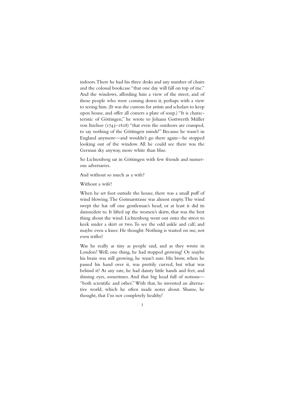indoors.There he had his three desks and any number of chairs and the colossal bookcase "that one day will fall on top of me." And the windows, affording him a view of the street, and of those people who were coming down it, perhaps with a view to seeing him. (It was the custom for artists and scholars to keep open house, and offer all comers a plate of soup.) "It is characteristic of Göttingen," he wrote to Johann Gottwerth Müller von Itzehoe (1743–1828) "that even the outdoors are cramped, to say nothing of the Göttingen minds!" Because he wasn't in England anymore—and wouldn't go there again—he stopped looking out of the window. All he could see there was the German sky anyway, more white than blue.

So Lichtenberg sat in Göttingen with few friends and numerous adversaries.

And without so much as a wife?

Without a wife!

When he set foot outside the house, there was a small puff of wind blowing.The Gotmarstrasse was almost empty.The wind swept the hat off one gentleman's head, or at least it did its damnedest to. It lifted up the women's skirts, that was the best thing about the wind. Lichtenberg went out onto the street to keek under a skirt or two. To see the odd ankle and calf, and maybe even a knee. He thought: Nothing is wasted on me, not even trifles!

Was he really as tiny as people said, and as they wrote in London? Well, one thing, he had stopped growing! Or maybe his brain was still growing, he wasn't sure. His brow, when he passed his hand over it, was prettily curved, but what was behind it? At any rate, he had dainty little hands and feet, and shining eyes, sometimes. And that big head full of notions— "both scientific and other."With that, he invented an alternative world, which he often made notes about. Shame, he thought, that I'm not completely healthy!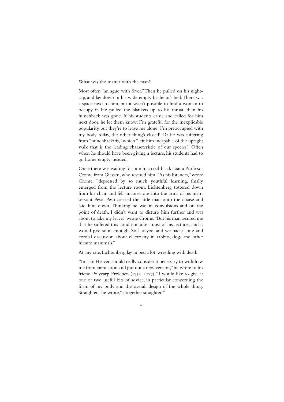#### What was the matter with the man?

Most often "an ague with fever."Then he pulled on his nightcap, and lay down in his wide empty bachelor's bed.There was a space next to him, but it wasn't possible to find a woman to occupy it. He pulled the blankets up to his throat, then his hunchback was gone. If his students came and called for him next door, he let them know: I'm grateful for the inexplicable popularity, but they're to leave me alone! I'm preoccupied with my body today, the other thing's closed! Or he was suffering from "hunchbackitis," which "left him incapable of the upright walk that is the leading characteristic of our species." Often when he should have been giving a lecture, his students had to go home empty-headed.

Once there was waiting for him in a coal-black coat a Professor Crome from Giessen, who revered him."As his listeners," wrote Crome, "depressed by so much youthful learning, finally emerged from the lecture room, Lichtenberg tottered down from his chair, and fell unconscious into the arms of his manservant Pesti. Pesti carried the little man onto the chaise and laid him down. Thinking he was in convulsions and on the point of death, I didn't want to disturb him further and was about to take my leave," wrote Crome."But his man assured me that he suffered this condition after most of his lectures, and it would pass soon enough. So I stayed, and we had a long and cordial discussion about electricity in rabbits, dogs and other hirsute mammals."

At any rate, Lichtenberg lay in bed a lot, wrestling with death.

"In case Heaven should really consider it necessary to withdraw me from circulation and put out a new version," he wrote to his friend Polycarp Erxleben (1744–1777), "I would like to give it one or two useful bits of advice, in particular concerning the form of my body and the overall design of the whole thing. Straighter,"he wrote,"altogether straighter!"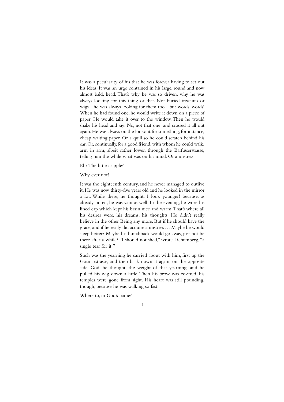It was a peculiarity of his that he was forever having to set out his ideas. It was an urge contained in his large, round and now almost bald, head. That's why he was so driven, why he was always looking for this thing or that. Not buried treasures or wigs—he was always looking for them too—but words, words! When he had found one, he would write it down on a piece of paper. He would take it over to the window. Then he would shake his head and say: No, not that one! and crossed it all out again. He was always on the lookout for something, for instance, cheap writing paper. Or a quill so he could scratch behind his ear.Or,continually,for a good friend,with whom he could walk, arm in arm, albeit rather lower, through the Barfusserstrasse, telling him the while what was on his mind. Or a mistress.

#### Eh? The little cripple?

#### Why ever not?

It was the eighteenth century, and he never managed to outlive it. He was now thirty-five years old and he looked in the mirror a lot. While there, he thought: I look younger! because, as already noted, he was vain as well. In the evening, he wore his lined cap which kept his brain nice and warm.That's where all his desires were, his dreams, his thoughts. He didn't really believe in the other Being any more. But if he should have the grace, and if he really did acquire a mistress . . . Maybe he would sleep better? Maybe his hunchback would go away, just not be there after a while? "I should not shed," wrote Lichtenberg,"a single tear for it!"

Such was the yearning he carried about with him, first up the Gotmarstrasse, and then back down it again, on the opposite side. God, he thought, the weight of that yearning! and he pulled his wig down a little. Then his brow was covered, his temples were gone from sight. His heart was still pounding, though, because he was walking so fast.

Where to, in God's name?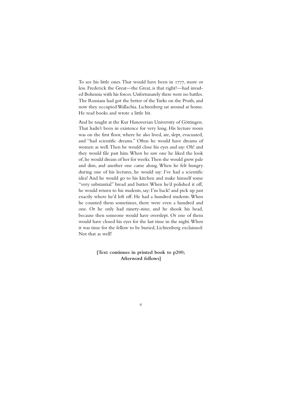To see his little ones.That would have been in 1777, more or less. Frederick the Great—the Great, is that right?—had invaded Bohemia with his forces.Unfortunately there were no battles. The Russians had got the better of the Turks on the Pruth, and now they occupied Wallachia. Lichtenberg sat around at home. He read books and wrote a little bit.

And he taught at the Kur Hanoverian University of Göttingen. That hadn't been in existence for very long. His lecture room was on the first floor, where he also lived, ate, slept, evacuated, and "had scientific dreams." Often he would have dreams of women as well.Then he would close his eyes and say: Oh! and they would file past him.When he saw one he liked the look of,he would dream of her for weeks.Then she would grow pale and dim, and another one came along. When he felt hungry during one of his lectures, he would say: I've had a scientific idea! And he would go to his kitchen and make himself some "very substantial" bread and butter.When he'd polished it off, he would return to his students, say: I'm back! and pick up just exactly where he'd left off. He had a hundred students.When he counted them sometimes, there were even a hundred and one. Or he only had ninety-nine, and he shook his head, because then someone would have overslept. Or one of them would have closed his eyes for the last time in the night.When it was time for the fellow to be buried, Lichtenberg exclaimed: Not that as well!

#### **[Text continues in printed book to p200; Afterword follows]**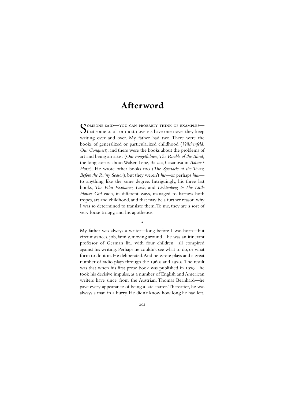### *Afterword*

SOMEONE SAID—YOU CAN PROBABLY THINK OF EXAMPLES—<br>that some or all or most novelists have one novel they keep writing over and over. My father had two. There were the books of generalized or particularized childhood (*Veilchenfeld, Our Conquest*), and there were the books about the problems of art and being an artist (*Our Forgetfulness,The Parable of the Blind,* the long stories about Walser, Lenz, Balzac, Casanova in *Balzac's Horse*). He wrote other books too (*The Spectacle at the Tower, Before the Rainy Season*), but they weren't *his*—or perhaps *him* to anything like the same degree. Intriguingly, his three last books, *The Film Explainer, Luck,* and *Lichtenberg & The Little Flower Girl* each, in different ways, managed to harness both tropes, art and childhood, and that may be a further reason why I was so determined to translate them.To me, they are a sort of very loose trilogy, and his apotheosis.

My father was always a writer—long before I was born—but circumstances, job, family, moving around—he was an itinerant professor of German lit., with four children—all conspired against his writing. Perhaps he couldn't see what to do, or what form to do it in. He deliberated.And he wrote plays and a great number of radio plays through the 1960s and 1970s.The result was that when his first prose book was published in 1979—he took his decisive impulse, as a number of English and American writers have since, from the Austrian, Thomas Bernhard—he gave every appearance of being a late starter.Thereafter, he was always a man in a hurry. He didn't know how long he had left,

\*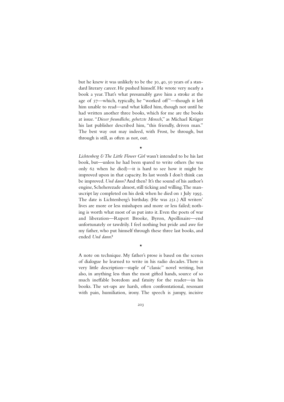but he knew it was unlikely to be the 30, 40, 50 years of a standard literary career. He pushed himself. He wrote very nearly a book a year. That's what presumably gave him a stroke at the age of 57—which, typically, he "worked off"—though it left him unable to read—and what killed him, though not until he had written another three books, which for me are the books at issue. "*Dieser freundliche, gehetzte Mensch*," as Michael Krüger his last publisher described him, "this friendly, driven man." The best way out may indeed, with Frost, be through, but through is still, as often as not, out.

#### \*

*Lichtenberg & The Little Flower Girl* wasn't intended to be his last book, but—unless he had been spared to write others (he was only 62 when he died)—it is hard to see how it might be improved upon in that capacity. Its last words I don't think can be improved. *Und dann?* And then? It's the sound of his author's engine, Scheherezade almost, still ticking and willing.The manuscript lay completed on his desk when he died on 1 July 1993. The date is Lichtenberg's birthday. (He was 251.) All writers' lives are more or less misshapen and more or less failed; nothing is worth what most of us put into it. Even the poets of war and liberation—Rupert Brooke, Byron, Apollinaire—end unfortunately or tawdrily. I feel nothing but pride and awe for my father, who put himself through these three last books, and ended *Und dann?*

\*

A note on technique. My father's prose is based on the scenes of dialogue he learned to write in his radio decades. There is very little description—staple of "classic" novel writing, but also, in anything less than the most gifted hands, source of so much ineffable boredom and fatuity for the reader—in his books. The set-ups are harsh, often confrontational, resonant with pain, humiliation, irony. The speech is jumpy, incisive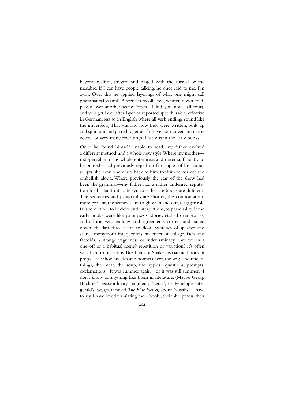beyond realism, stressed and tinged with the surreal or the macabre. If I can have people talking, he once said to me, I'm away. Over this he applied layerings of what one might call grammatical varnish.A scene is recollected, written down, told, played over another scene (often—I kid you not!—all four), and you get layer after layer of reported speech. (Very effective in German, less so in English where all verb endings sound like the imperfect.) That was also how they were written, built up and spun out and pasted together from version to version in the course of very many rewritings.That was in the early books.

Once he found himself unable to read, my father evolved a different method,and a whole new style.Where my mother indispensable to his whole enterprise, and never sufficiently to be praised—had previously typed up fair copies of his manuscripts, she now read drafts back to him, for him to correct and embellish aloud. Where previously the star of the show had been the grammar—my father had a rather undesired reputation for brilliant intricate syntax—the late books are different. The sentences and paragraphs are shorter, the confrontations more present, the scenes seem to ghost in and out, a bigger role falls to diction, to heckles and interjections, to personality. If the early books were like palimpsests, stories etched over stories, and all the verb endings and agreements correct and nailed down, the last three seem to float. Switches of speaker and scene, anonymous interjections, an effect of collage, facts and factoids, a strange vagueness or indeterminacy—are we in a one-off or a habitual scene? repetition or variation? it's often very hard to tell—tiny Brechtian or Shakespearian additions of props—the shoe buckles and bonnets here, the wigs and underthings, the meat, the soup, the apples—questions, prompts, exclamations."It was summer again—or it was still summer." I don't know of anything like them in literature. (Maybe Georg Büchner's extraordinary fragment, "Lenz"; or Penelope Fitzgerald's last, great novel *The Blue Flower,* about Novalis.) I have to say I have loved translating these books, their abruptness, their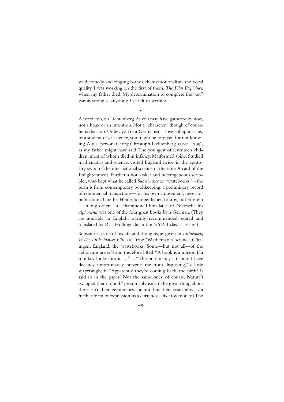wild comedy and ringing bathos, their emotionalism and vocal quality. I was working on the first of them, *The Film Explainer,* when my father died. My determination to complete the "set" was as strong as anything I've felt in writing.

\*

A word, too, on Lichtenberg. As you may have gathered by now, not a hoax or an invention. Not a "character," though of course he is that too. Unless you're a Germanist, a lover of aphorisms, or a student of *ur*-science, you might be forgiven for not knowing.A real person. Georg Christoph Lichtenberg. (1742–1799), as my father might have said.The youngest of seventeen children, most of whom died in infancy. Malformed spine. Studied mathematics and science, visited England twice, in the epistolary swim of the international science of the time.A card of the Enlightenment. Further a note-taker and heterogeneous scribbler, who kept what he called *Sudelbucher* or "wastebooks"—the term is from contemporary bookkeeping, a preliminary record of commercial transactions—for his own amusement, never for publication. Goethe, Heine, Schopenhauer,Tolstoy, and Einstein —among others—all championed him later; to Nietzsche his *Aphorisms* was one of the four great books by a German. (They are available in English, warmly recommended, edited and translated by R. J. Hollingdale, in the NYRB classics series.)

Substantial parts of his life and thoughts, as given in *Lichtenberg & The Little Flower Girl,* are "true." Mathematics, science, Göttingen, England, the wastebooks. Some—but not all—of the aphorisms are *echt* and therefore lifted."A book is a mirror. If a monkey looks into it . . ." is."The only manly attribute I have decency unfortunately prevents me from displaying," a little surprisingly, is. "Apparently they're coming back, the birds! It said so in the paper! Not the same ones, of course, Nature's swapped them round," presumably isn't. (The great thing about these isn't their genuineness or not, but their availability as a further form of expression, as a currency—like toy money.) The